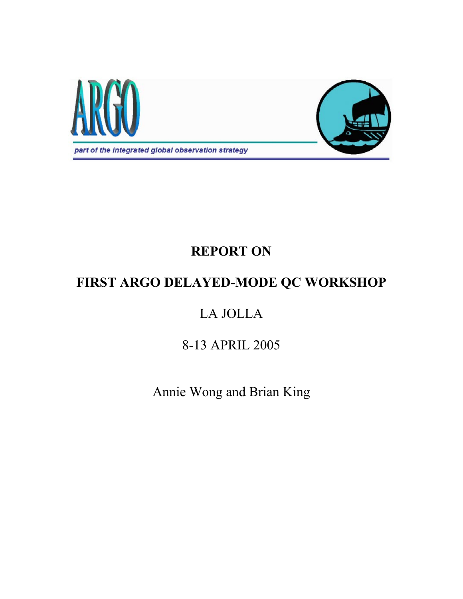

# **REPORT ON**

# **FIRST ARGO DELAYED-MODE QC WORKSHOP**

# LA JOLLA

# 8-13 APRIL 2005

Annie Wong and Brian King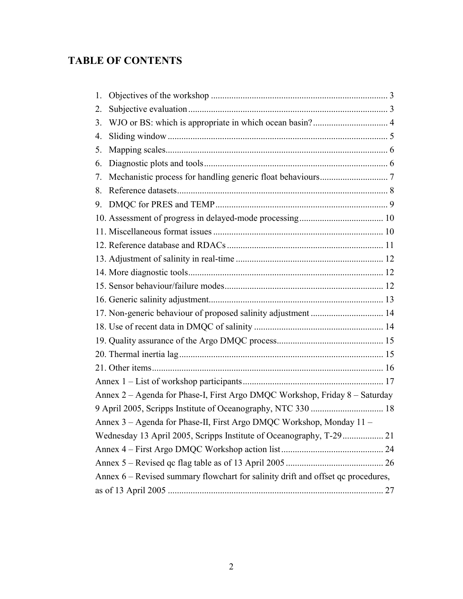# **TABLE OF CONTENTS**

| 1.                                                                               |                                                               |  |
|----------------------------------------------------------------------------------|---------------------------------------------------------------|--|
| 2.                                                                               |                                                               |  |
| 3.                                                                               |                                                               |  |
| 4.                                                                               |                                                               |  |
| 5.                                                                               |                                                               |  |
| 6.                                                                               |                                                               |  |
| 7.                                                                               |                                                               |  |
| 8.                                                                               |                                                               |  |
| 9.                                                                               |                                                               |  |
|                                                                                  |                                                               |  |
|                                                                                  |                                                               |  |
|                                                                                  |                                                               |  |
|                                                                                  |                                                               |  |
|                                                                                  |                                                               |  |
|                                                                                  |                                                               |  |
|                                                                                  |                                                               |  |
|                                                                                  | 17. Non-generic behaviour of proposed salinity adjustment  14 |  |
|                                                                                  |                                                               |  |
|                                                                                  |                                                               |  |
|                                                                                  |                                                               |  |
|                                                                                  |                                                               |  |
|                                                                                  |                                                               |  |
| Annex 2 - Agenda for Phase-I, First Argo DMQC Workshop, Friday 8 - Saturday      |                                                               |  |
|                                                                                  |                                                               |  |
| Annex 3 - Agenda for Phase-II, First Argo DMQC Workshop, Monday 11 -             |                                                               |  |
| Wednesday 13 April 2005, Scripps Institute of Oceanography, T-29  21             |                                                               |  |
|                                                                                  |                                                               |  |
|                                                                                  |                                                               |  |
| Annex 6 – Revised summary flowchart for salinity drift and offset qc procedures, |                                                               |  |
|                                                                                  |                                                               |  |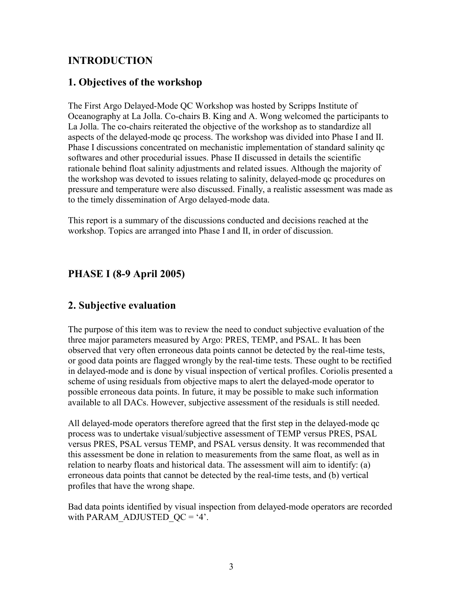# <span id="page-2-0"></span>**INTRODUCTION**

# **1. Objectives of the workshop**

The First Argo Delayed-Mode QC Workshop was hosted by Scripps Institute of Oceanography at La Jolla. Co-chairs B. King and A. Wong welcomed the participants to La Jolla. The co-chairs reiterated the objective of the workshop as to standardize all aspects of the delayed-mode qc process. The workshop was divided into Phase I and II. Phase I discussions concentrated on mechanistic implementation of standard salinity qc softwares and other procedurial issues. Phase II discussed in details the scientific rationale behind float salinity adjustments and related issues. Although the majority of the workshop was devoted to issues relating to salinity, delayed-mode qc procedures on pressure and temperature were also discussed. Finally, a realistic assessment was made as to the timely dissemination of Argo delayed-mode data.

This report is a summary of the discussions conducted and decisions reached at the workshop. Topics are arranged into Phase I and II, in order of discussion.

# **PHASE I (8-9 April 2005)**

# **2. Subjective evaluation**

The purpose of this item was to review the need to conduct subjective evaluation of the three major parameters measured by Argo: PRES, TEMP, and PSAL. It has been observed that very often erroneous data points cannot be detected by the real-time tests, or good data points are flagged wrongly by the real-time tests. These ought to be rectified in delayed-mode and is done by visual inspection of vertical profiles. Coriolis presented a scheme of using residuals from objective maps to alert the delayed-mode operator to possible erroneous data points. In future, it may be possible to make such information available to all DACs. However, subjective assessment of the residuals is still needed.

All delayed-mode operators therefore agreed that the first step in the delayed-mode qc process was to undertake visual/subjective assessment of TEMP versus PRES, PSAL versus PRES, PSAL versus TEMP, and PSAL versus density. It was recommended that this assessment be done in relation to measurements from the same float, as well as in relation to nearby floats and historical data. The assessment will aim to identify: (a) erroneous data points that cannot be detected by the real-time tests, and (b) vertical profiles that have the wrong shape.

Bad data points identified by visual inspection from delayed-mode operators are recorded with PARAM\_ADJUSTED\_QC = '4'.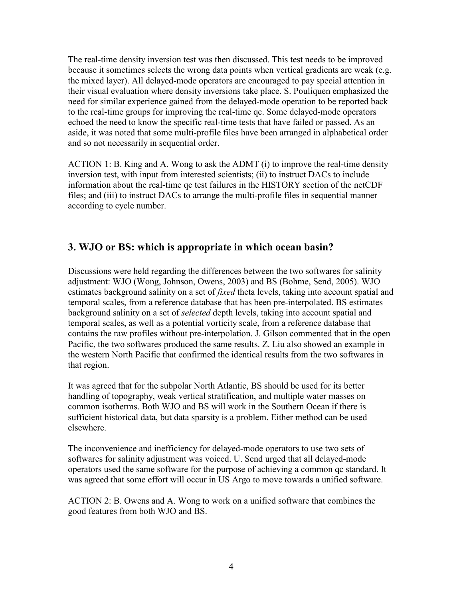<span id="page-3-0"></span>The real-time density inversion test was then discussed. This test needs to be improved because it sometimes selects the wrong data points when vertical gradients are weak (e.g. the mixed layer). All delayed-mode operators are encouraged to pay special attention in their visual evaluation where density inversions take place. S. Pouliquen emphasized the need for similar experience gained from the delayed-mode operation to be reported back to the real-time groups for improving the real-time qc. Some delayed-mode operators echoed the need to know the specific real-time tests that have failed or passed. As an aside, it was noted that some multi-profile files have been arranged in alphabetical order and so not necessarily in sequential order.

ACTION 1: B. King and A. Wong to ask the ADMT (i) to improve the real-time density inversion test, with input from interested scientists; (ii) to instruct DACs to include information about the real-time qc test failures in the HISTORY section of the netCDF files; and (iii) to instruct DACs to arrange the multi-profile files in sequential manner according to cycle number.

## **3. WJO or BS: which is appropriate in which ocean basin?**

Discussions were held regarding the differences between the two softwares for salinity adjustment: WJO (Wong, Johnson, Owens, 2003) and BS (Bohme, Send, 2005). WJO estimates background salinity on a set of *fixed* theta levels, taking into account spatial and temporal scales, from a reference database that has been pre-interpolated. BS estimates background salinity on a set of *selected* depth levels, taking into account spatial and temporal scales, as well as a potential vorticity scale, from a reference database that contains the raw profiles without pre-interpolation. J. Gilson commented that in the open Pacific, the two softwares produced the same results. Z. Liu also showed an example in the western North Pacific that confirmed the identical results from the two softwares in that region.

It was agreed that for the subpolar North Atlantic, BS should be used for its better handling of topography, weak vertical stratification, and multiple water masses on common isotherms. Both WJO and BS will work in the Southern Ocean if there is sufficient historical data, but data sparsity is a problem. Either method can be used elsewhere.

The inconvenience and inefficiency for delayed-mode operators to use two sets of softwares for salinity adjustment was voiced. U. Send urged that all delayed-mode operators used the same software for the purpose of achieving a common qc standard. It was agreed that some effort will occur in US Argo to move towards a unified software.

ACTION 2: B. Owens and A. Wong to work on a unified software that combines the good features from both WJO and BS.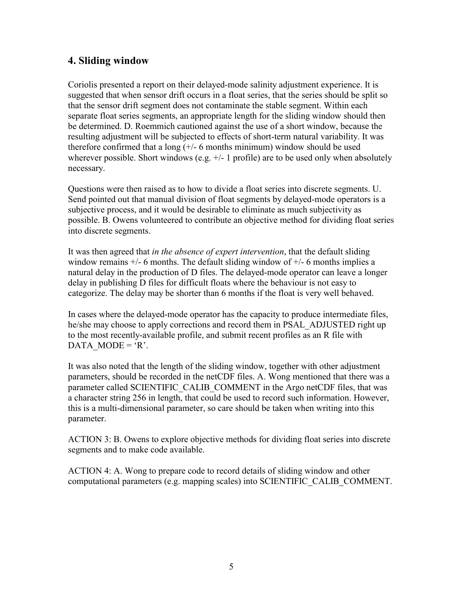# <span id="page-4-0"></span>**4. Sliding window**

Coriolis presented a report on their delayed-mode salinity adjustment experience. It is suggested that when sensor drift occurs in a float series, that the series should be split so that the sensor drift segment does not contaminate the stable segment. Within each separate float series segments, an appropriate length for the sliding window should then be determined. D. Roemmich cautioned against the use of a short window, because the resulting adjustment will be subjected to effects of short-term natural variability. It was therefore confirmed that a long  $(+/- 6$  months minimum) window should be used wherever possible. Short windows (e.g.  $+/-1$  profile) are to be used only when absolutely necessary.

Questions were then raised as to how to divide a float series into discrete segments. U. Send pointed out that manual division of float segments by delayed-mode operators is a subjective process, and it would be desirable to eliminate as much subjectivity as possible. B. Owens volunteered to contribute an objective method for dividing float series into discrete segments.

It was then agreed that *in the absence of expert intervention*, that the default sliding window remains  $+/-$  6 months. The default sliding window of  $+/-$  6 months implies a natural delay in the production of D files. The delayed-mode operator can leave a longer delay in publishing D files for difficult floats where the behaviour is not easy to categorize. The delay may be shorter than 6 months if the float is very well behaved.

In cases where the delayed-mode operator has the capacity to produce intermediate files, he/she may choose to apply corrections and record them in PSAL\_ADJUSTED right up to the most recently-available profile, and submit recent profiles as an R file with DATA MODE =  $'R$ .

It was also noted that the length of the sliding window, together with other adjustment parameters, should be recorded in the netCDF files. A. Wong mentioned that there was a parameter called SCIENTIFIC\_CALIB\_COMMENT in the Argo netCDF files, that was a character string 256 in length, that could be used to record such information. However, this is a multi-dimensional parameter, so care should be taken when writing into this parameter.

ACTION 3: B. Owens to explore objective methods for dividing float series into discrete segments and to make code available.

ACTION 4: A. Wong to prepare code to record details of sliding window and other computational parameters (e.g. mapping scales) into SCIENTIFIC\_CALIB\_COMMENT.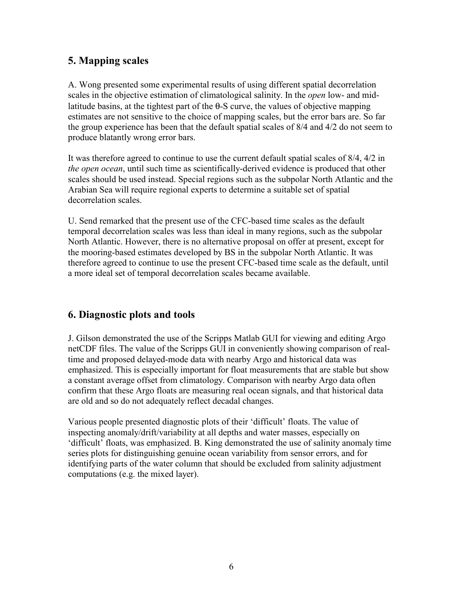# <span id="page-5-0"></span>**5. Mapping scales**

A. Wong presented some experimental results of using different spatial decorrelation scales in the objective estimation of climatological salinity. In the *open* low- and midlatitude basins, at the tightest part of the  $\theta$ -S curve, the values of objective mapping estimates are not sensitive to the choice of mapping scales, but the error bars are. So far the group experience has been that the default spatial scales of 8/4 and 4/2 do not seem to produce blatantly wrong error bars.

It was therefore agreed to continue to use the current default spatial scales of 8/4, 4/2 in *the open ocean*, until such time as scientifically-derived evidence is produced that other scales should be used instead. Special regions such as the subpolar North Atlantic and the Arabian Sea will require regional experts to determine a suitable set of spatial decorrelation scales.

U. Send remarked that the present use of the CFC-based time scales as the default temporal decorrelation scales was less than ideal in many regions, such as the subpolar North Atlantic. However, there is no alternative proposal on offer at present, except for the mooring-based estimates developed by BS in the subpolar North Atlantic. It was therefore agreed to continue to use the present CFC-based time scale as the default, until a more ideal set of temporal decorrelation scales became available.

# **6. Diagnostic plots and tools**

J. Gilson demonstrated the use of the Scripps Matlab GUI for viewing and editing Argo netCDF files. The value of the Scripps GUI in conveniently showing comparison of realtime and proposed delayed-mode data with nearby Argo and historical data was emphasized. This is especially important for float measurements that are stable but show a constant average offset from climatology. Comparison with nearby Argo data often confirm that these Argo floats are measuring real ocean signals, and that historical data are old and so do not adequately reflect decadal changes.

Various people presented diagnostic plots of their 'difficult' floats. The value of inspecting anomaly/drift/variability at all depths and water masses, especially on 'difficult' floats, was emphasized. B. King demonstrated the use of salinity anomaly time series plots for distinguishing genuine ocean variability from sensor errors, and for identifying parts of the water column that should be excluded from salinity adjustment computations (e.g. the mixed layer).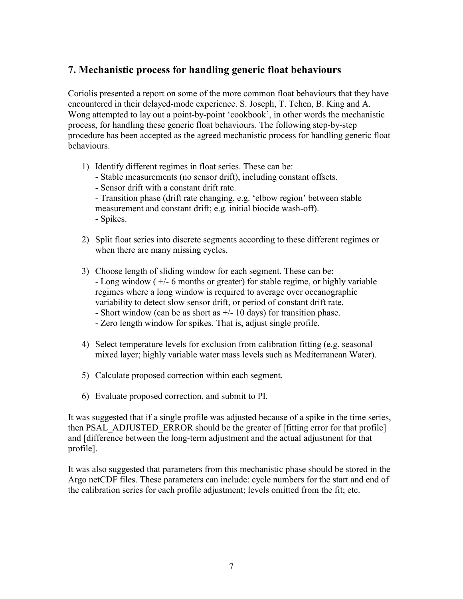# <span id="page-6-0"></span>**7. Mechanistic process for handling generic float behaviours**

Coriolis presented a report on some of the more common float behaviours that they have encountered in their delayed-mode experience. S. Joseph, T. Tchen, B. King and A. Wong attempted to lay out a point-by-point 'cookbook', in other words the mechanistic process, for handling these generic float behaviours. The following step-by-step procedure has been accepted as the agreed mechanistic process for handling generic float behaviours.

- 1) Identify different regimes in float series. These can be:
	- Stable measurements (no sensor drift), including constant offsets.
	- Sensor drift with a constant drift rate.
	- Transition phase (drift rate changing, e.g. 'elbow region' between stable measurement and constant drift; e.g. initial biocide wash-off). - Spikes.
- 2) Split float series into discrete segments according to these different regimes or when there are many missing cycles.
- 3) Choose length of sliding window for each segment. These can be: - Long window ( +/- 6 months or greater) for stable regime, or highly variable regimes where a long window is required to average over oceanographic variability to detect slow sensor drift, or period of constant drift rate.
	- Short window (can be as short as  $+/- 10$  days) for transition phase.
	- Zero length window for spikes. That is, adjust single profile.
- 4) Select temperature levels for exclusion from calibration fitting (e.g. seasonal mixed layer; highly variable water mass levels such as Mediterranean Water).
- 5) Calculate proposed correction within each segment.
- 6) Evaluate proposed correction, and submit to PI.

It was suggested that if a single profile was adjusted because of a spike in the time series, then PSAL\_ADJUSTED\_ERROR should be the greater of [fitting error for that profile] and [difference between the long-term adjustment and the actual adjustment for that profile].

It was also suggested that parameters from this mechanistic phase should be stored in the Argo netCDF files. These parameters can include: cycle numbers for the start and end of the calibration series for each profile adjustment; levels omitted from the fit; etc.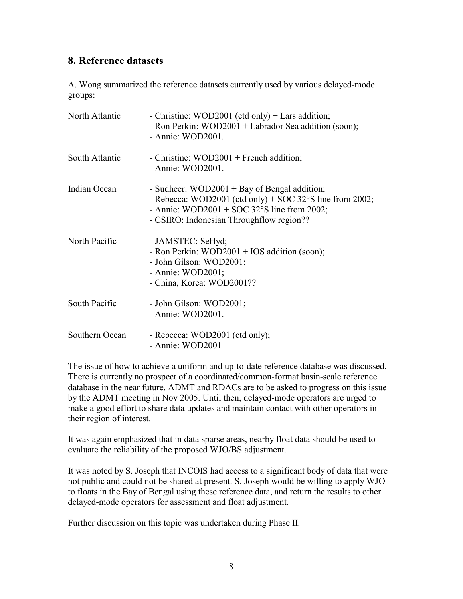# <span id="page-7-0"></span>**8. Reference datasets**

A. Wong summarized the reference datasets currently used by various delayed-mode groups:

| North Atlantic | - Christine: WOD2001 (ctd only) $+$ Lars addition;<br>- Ron Perkin: WOD2001 + Labrador Sea addition (soon);<br>- Annie: WOD2001.                                                                                        |
|----------------|-------------------------------------------------------------------------------------------------------------------------------------------------------------------------------------------------------------------------|
| South Atlantic | - Christine: $WOD2001$ + French addition;<br>- Annie: WOD2001.                                                                                                                                                          |
| Indian Ocean   | - Sudheer: WOD2001 + Bay of Bengal addition;<br>- Rebecca: WOD2001 (ctd only) + SOC 32 $\degree$ S line from 2002;<br>- Annie: WOD2001 + SOC 32 $\degree$ S line from 2002;<br>- CSIRO: Indonesian Throughflow region?? |
| North Pacific  | - JAMSTEC: SeHyd;<br>- Ron Perkin: WOD2001 + IOS addition (soon);<br>- John Gilson: WOD2001;<br>- Annie: $WOD2001$ ;<br>- China, Korea: WOD2001??                                                                       |
| South Pacific  | - John Gilson: WOD2001;<br>- Annie: WOD2001.                                                                                                                                                                            |
| Southern Ocean | - Rebecca: WOD2001 (ctd only);<br>- Annie: WOD2001                                                                                                                                                                      |

The issue of how to achieve a uniform and up-to-date reference database was discussed. There is currently no prospect of a coordinated/common-format basin-scale reference database in the near future. ADMT and RDACs are to be asked to progress on this issue by the ADMT meeting in Nov 2005. Until then, delayed-mode operators are urged to make a good effort to share data updates and maintain contact with other operators in their region of interest.

It was again emphasized that in data sparse areas, nearby float data should be used to evaluate the reliability of the proposed WJO/BS adjustment.

It was noted by S. Joseph that INCOIS had access to a significant body of data that were not public and could not be shared at present. S. Joseph would be willing to apply WJO to floats in the Bay of Bengal using these reference data, and return the results to other delayed-mode operators for assessment and float adjustment.

Further discussion on this topic was undertaken during Phase II.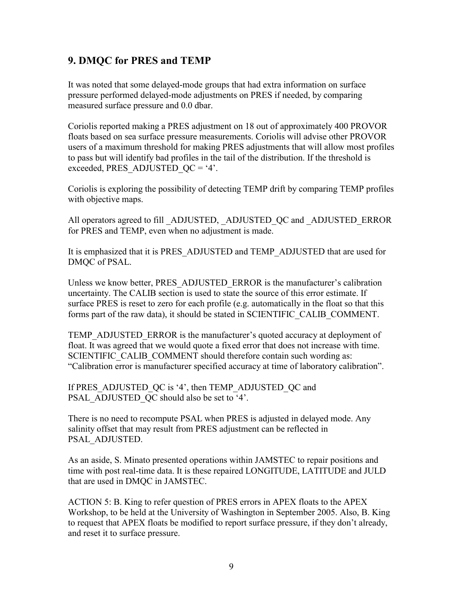## <span id="page-8-0"></span>**9. DMQC for PRES and TEMP**

It was noted that some delayed-mode groups that had extra information on surface pressure performed delayed-mode adjustments on PRES if needed, by comparing measured surface pressure and 0.0 dbar.

Coriolis reported making a PRES adjustment on 18 out of approximately 400 PROVOR floats based on sea surface pressure measurements. Coriolis will advise other PROVOR users of a maximum threshold for making PRES adjustments that will allow most profiles to pass but will identify bad profiles in the tail of the distribution. If the threshold is exceeded, PRES\_ADJUSTED\_QC = '4'.

Coriolis is exploring the possibility of detecting TEMP drift by comparing TEMP profiles with objective maps.

All operators agreed to fill ADJUSTED, ADJUSTED QC and ADJUSTED ERROR for PRES and TEMP, even when no adjustment is made.

It is emphasized that it is PRES\_ADJUSTED and TEMP\_ADJUSTED that are used for DMQC of PSAL.

Unless we know better, PRES\_ADJUSTED\_ERROR is the manufacturer's calibration uncertainty. The CALIB section is used to state the source of this error estimate. If surface PRES is reset to zero for each profile (e.g. automatically in the float so that this forms part of the raw data), it should be stated in SCIENTIFIC\_CALIB\_COMMENT.

TEMP\_ADJUSTED\_ERROR is the manufacturer's quoted accuracy at deployment of float. It was agreed that we would quote a fixed error that does not increase with time. SCIENTIFIC CALIB COMMENT should therefore contain such wording as: "Calibration error is manufacturer specified accuracy at time of laboratory calibration".

If PRES\_ADJUSTED\_QC is '4', then TEMP\_ADJUSTED\_QC and PSAL\_ADJUSTED\_QC should also be set to '4'.

There is no need to recompute PSAL when PRES is adjusted in delayed mode. Any salinity offset that may result from PRES adjustment can be reflected in PSAL\_ADJUSTED.

As an aside, S. Minato presented operations within JAMSTEC to repair positions and time with post real-time data. It is these repaired LONGITUDE, LATITUDE and JULD that are used in DMQC in JAMSTEC.

ACTION 5: B. King to refer question of PRES errors in APEX floats to the APEX Workshop, to be held at the University of Washington in September 2005. Also, B. King to request that APEX floats be modified to report surface pressure, if they don't already, and reset it to surface pressure.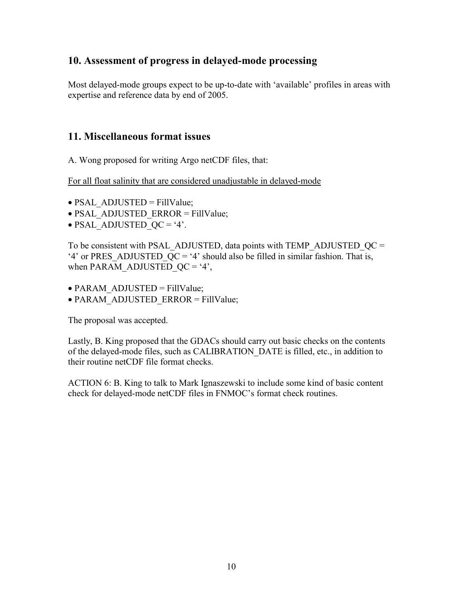## <span id="page-9-0"></span>**10. Assessment of progress in delayed-mode processing**

Most delayed-mode groups expect to be up-to-date with 'available' profiles in areas with expertise and reference data by end of 2005.

### **11. Miscellaneous format issues**

A. Wong proposed for writing Argo netCDF files, that:

For all float salinity that are considered unadjustable in delayed-mode

- PSAL\_ADJUSTED = FillValue;
- PSAL\_ADJUSTED\_ERROR = FillValue;
- $\bullet$  PSAL\_ADJUSTED\_QC = '4'.

To be consistent with PSAL\_ADJUSTED, data points with TEMP\_ADJUSTED\_ $QC =$ '4' or PRES ADJUSTED  $QC = '4'$  should also be filled in similar fashion. That is, when PARAM\_ADJUSTED\_QC = '4',

- PARAM\_ADJUSTED = FillValue;
- PARAM\_ADJUSTED\_ERROR = FillValue;

The proposal was accepted.

Lastly, B. King proposed that the GDACs should carry out basic checks on the contents of the delayed-mode files, such as CALIBRATION\_DATE is filled, etc., in addition to their routine netCDF file format checks.

ACTION 6: B. King to talk to Mark Ignaszewski to include some kind of basic content check for delayed-mode netCDF files in FNMOC's format check routines.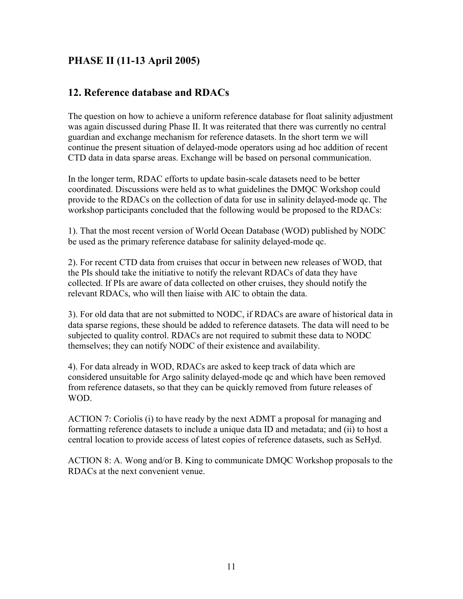# <span id="page-10-0"></span>**PHASE II (11-13 April 2005)**

### **12. Reference database and RDACs**

The question on how to achieve a uniform reference database for float salinity adjustment was again discussed during Phase II. It was reiterated that there was currently no central guardian and exchange mechanism for reference datasets. In the short term we will continue the present situation of delayed-mode operators using ad hoc addition of recent CTD data in data sparse areas. Exchange will be based on personal communication.

In the longer term, RDAC efforts to update basin-scale datasets need to be better coordinated. Discussions were held as to what guidelines the DMQC Workshop could provide to the RDACs on the collection of data for use in salinity delayed-mode qc. The workshop participants concluded that the following would be proposed to the RDACs:

1). That the most recent version of World Ocean Database (WOD) published by NODC be used as the primary reference database for salinity delayed-mode qc.

2). For recent CTD data from cruises that occur in between new releases of WOD, that the PIs should take the initiative to notify the relevant RDACs of data they have collected. If PIs are aware of data collected on other cruises, they should notify the relevant RDACs, who will then liaise with AIC to obtain the data.

3). For old data that are not submitted to NODC, if RDACs are aware of historical data in data sparse regions, these should be added to reference datasets. The data will need to be subjected to quality control. RDACs are not required to submit these data to NODC themselves; they can notify NODC of their existence and availability.

4). For data already in WOD, RDACs are asked to keep track of data which are considered unsuitable for Argo salinity delayed-mode qc and which have been removed from reference datasets, so that they can be quickly removed from future releases of WOD.

ACTION 7: Coriolis (i) to have ready by the next ADMT a proposal for managing and formatting reference datasets to include a unique data ID and metadata; and (ii) to host a central location to provide access of latest copies of reference datasets, such as SeHyd.

ACTION 8: A. Wong and/or B. King to communicate DMQC Workshop proposals to the RDACs at the next convenient venue.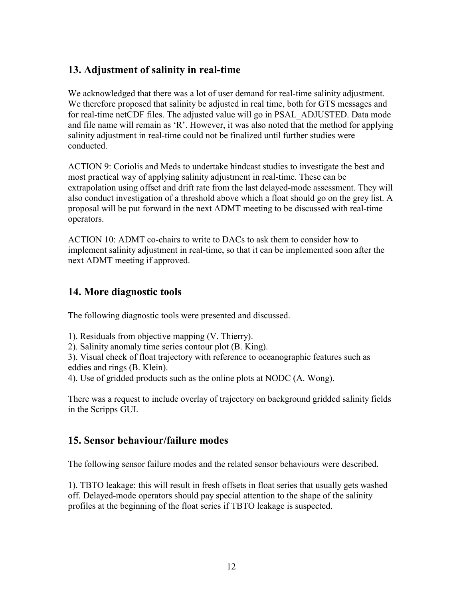# <span id="page-11-0"></span>**13. Adjustment of salinity in real-time**

We acknowledged that there was a lot of user demand for real-time salinity adjustment. We therefore proposed that salinity be adjusted in real time, both for GTS messages and for real-time netCDF files. The adjusted value will go in PSAL\_ADJUSTED. Data mode and file name will remain as 'R'. However, it was also noted that the method for applying salinity adjustment in real-time could not be finalized until further studies were conducted.

ACTION 9: Coriolis and Meds to undertake hindcast studies to investigate the best and most practical way of applying salinity adjustment in real-time. These can be extrapolation using offset and drift rate from the last delayed-mode assessment. They will also conduct investigation of a threshold above which a float should go on the grey list. A proposal will be put forward in the next ADMT meeting to be discussed with real-time operators.

ACTION 10: ADMT co-chairs to write to DACs to ask them to consider how to implement salinity adjustment in real-time, so that it can be implemented soon after the next ADMT meeting if approved.

### **14. More diagnostic tools**

The following diagnostic tools were presented and discussed.

- 1). Residuals from objective mapping (V. Thierry).
- 2). Salinity anomaly time series contour plot (B. King).

3). Visual check of float trajectory with reference to oceanographic features such as eddies and rings (B. Klein).

4). Use of gridded products such as the online plots at NODC (A. Wong).

There was a request to include overlay of trajectory on background gridded salinity fields in the Scripps GUI.

### **15. Sensor behaviour/failure modes**

The following sensor failure modes and the related sensor behaviours were described.

1). TBTO leakage: this will result in fresh offsets in float series that usually gets washed off. Delayed-mode operators should pay special attention to the shape of the salinity profiles at the beginning of the float series if TBTO leakage is suspected.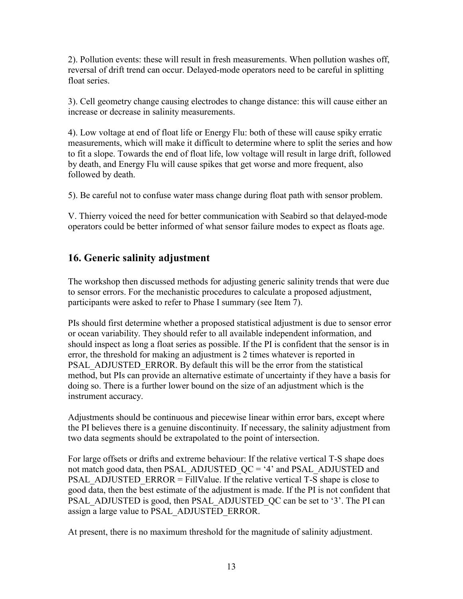<span id="page-12-0"></span>2). Pollution events: these will result in fresh measurements. When pollution washes off, reversal of drift trend can occur. Delayed-mode operators need to be careful in splitting float series.

3). Cell geometry change causing electrodes to change distance: this will cause either an increase or decrease in salinity measurements.

4). Low voltage at end of float life or Energy Flu: both of these will cause spiky erratic measurements, which will make it difficult to determine where to split the series and how to fit a slope. Towards the end of float life, low voltage will result in large drift, followed by death, and Energy Flu will cause spikes that get worse and more frequent, also followed by death.

5). Be careful not to confuse water mass change during float path with sensor problem.

V. Thierry voiced the need for better communication with Seabird so that delayed-mode operators could be better informed of what sensor failure modes to expect as floats age.

# **16. Generic salinity adjustment**

The workshop then discussed methods for adjusting generic salinity trends that were due to sensor errors. For the mechanistic procedures to calculate a proposed adjustment, participants were asked to refer to Phase I summary (see Item 7).

PIs should first determine whether a proposed statistical adjustment is due to sensor error or ocean variability. They should refer to all available independent information, and should inspect as long a float series as possible. If the PI is confident that the sensor is in error, the threshold for making an adjustment is 2 times whatever is reported in PSAL\_ADJUSTED\_ERROR. By default this will be the error from the statistical method, but PIs can provide an alternative estimate of uncertainty if they have a basis for doing so. There is a further lower bound on the size of an adjustment which is the instrument accuracy.

Adjustments should be continuous and piecewise linear within error bars, except where the PI believes there is a genuine discontinuity. If necessary, the salinity adjustment from two data segments should be extrapolated to the point of intersection.

For large offsets or drifts and extreme behaviour: If the relative vertical T-S shape does not match good data, then PSAL\_ADJUSTED\_QC = '4' and PSAL\_ADJUSTED and PSAL\_ADJUSTED\_ERROR = FillValue. If the relative vertical T-S shape is close to good data, then the best estimate of the adjustment is made. If the PI is not confident that PSAL\_ADJUSTED is good, then PSAL\_ADJUSTED\_QC can be set to '3'. The PI can assign a large value to PSAL\_ADJUSTED\_ERROR.

At present, there is no maximum threshold for the magnitude of salinity adjustment.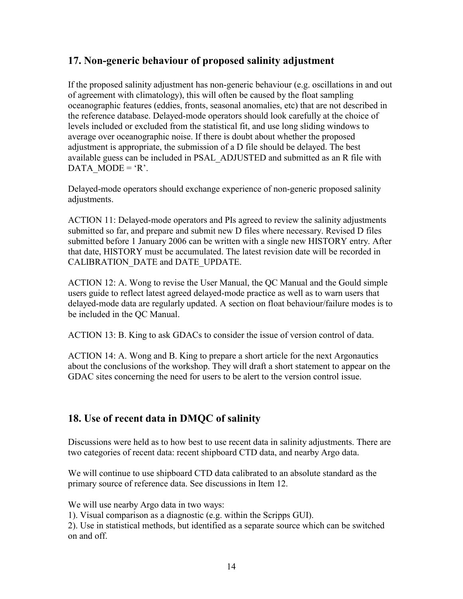## <span id="page-13-0"></span>**17. Non-generic behaviour of proposed salinity adjustment**

If the proposed salinity adjustment has non-generic behaviour (e.g. oscillations in and out of agreement with climatology), this will often be caused by the float sampling oceanographic features (eddies, fronts, seasonal anomalies, etc) that are not described in the reference database. Delayed-mode operators should look carefully at the choice of levels included or excluded from the statistical fit, and use long sliding windows to average over oceanographic noise. If there is doubt about whether the proposed adjustment is appropriate, the submission of a D file should be delayed. The best available guess can be included in PSAL\_ADJUSTED and submitted as an R file with DATA MODE =  $'R$ .

Delayed-mode operators should exchange experience of non-generic proposed salinity adjustments.

ACTION 11: Delayed-mode operators and PIs agreed to review the salinity adjustments submitted so far, and prepare and submit new D files where necessary. Revised D files submitted before 1 January 2006 can be written with a single new HISTORY entry. After that date, HISTORY must be accumulated. The latest revision date will be recorded in CALIBRATION\_DATE and DATE\_UPDATE.

ACTION 12: A. Wong to revise the User Manual, the QC Manual and the Gould simple users guide to reflect latest agreed delayed-mode practice as well as to warn users that delayed-mode data are regularly updated. A section on float behaviour/failure modes is to be included in the QC Manual.

ACTION 13: B. King to ask GDACs to consider the issue of version control of data.

ACTION 14: A. Wong and B. King to prepare a short article for the next Argonautics about the conclusions of the workshop. They will draft a short statement to appear on the GDAC sites concerning the need for users to be alert to the version control issue.

## **18. Use of recent data in DMQC of salinity**

Discussions were held as to how best to use recent data in salinity adjustments. There are two categories of recent data: recent shipboard CTD data, and nearby Argo data.

We will continue to use shipboard CTD data calibrated to an absolute standard as the primary source of reference data. See discussions in Item 12.

We will use nearby Argo data in two ways:

1). Visual comparison as a diagnostic (e.g. within the Scripps GUI).

2). Use in statistical methods, but identified as a separate source which can be switched on and off.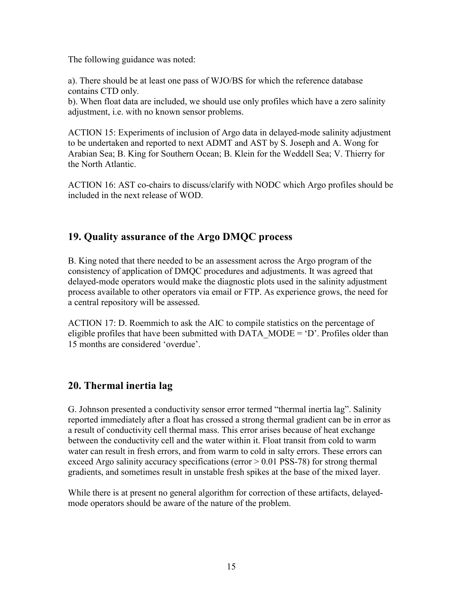<span id="page-14-0"></span>The following guidance was noted:

a). There should be at least one pass of WJO/BS for which the reference database contains CTD only.

b). When float data are included, we should use only profiles which have a zero salinity adjustment, i.e. with no known sensor problems.

ACTION 15: Experiments of inclusion of Argo data in delayed-mode salinity adjustment to be undertaken and reported to next ADMT and AST by S. Joseph and A. Wong for Arabian Sea; B. King for Southern Ocean; B. Klein for the Weddell Sea; V. Thierry for the North Atlantic.

ACTION 16: AST co-chairs to discuss/clarify with NODC which Argo profiles should be included in the next release of WOD.

## **19. Quality assurance of the Argo DMQC process**

B. King noted that there needed to be an assessment across the Argo program of the consistency of application of DMQC procedures and adjustments. It was agreed that delayed-mode operators would make the diagnostic plots used in the salinity adjustment process available to other operators via email or FTP. As experience grows, the need for a central repository will be assessed.

ACTION 17: D. Roemmich to ask the AIC to compile statistics on the percentage of eligible profiles that have been submitted with DATA\_MODE =  $D'$ . Profiles older than 15 months are considered 'overdue'.

# **20. Thermal inertia lag**

G. Johnson presented a conductivity sensor error termed "thermal inertia lag". Salinity reported immediately after a float has crossed a strong thermal gradient can be in error as a result of conductivity cell thermal mass. This error arises because of heat exchange between the conductivity cell and the water within it. Float transit from cold to warm water can result in fresh errors, and from warm to cold in salty errors. These errors can exceed Argo salinity accuracy specifications (error  $> 0.01$  PSS-78) for strong thermal gradients, and sometimes result in unstable fresh spikes at the base of the mixed layer.

While there is at present no general algorithm for correction of these artifacts, delayedmode operators should be aware of the nature of the problem.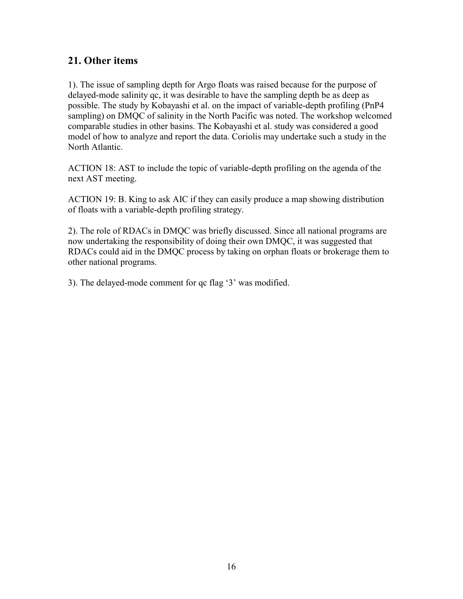## <span id="page-15-0"></span>**21. Other items**

1). The issue of sampling depth for Argo floats was raised because for the purpose of delayed-mode salinity qc, it was desirable to have the sampling depth be as deep as possible. The study by Kobayashi et al. on the impact of variable-depth profiling (PnP4 sampling) on DMQC of salinity in the North Pacific was noted. The workshop welcomed comparable studies in other basins. The Kobayashi et al. study was considered a good model of how to analyze and report the data. Coriolis may undertake such a study in the North Atlantic.

ACTION 18: AST to include the topic of variable-depth profiling on the agenda of the next AST meeting.

ACTION 19: B. King to ask AIC if they can easily produce a map showing distribution of floats with a variable-depth profiling strategy.

2). The role of RDACs in DMQC was briefly discussed. Since all national programs are now undertaking the responsibility of doing their own DMQC, it was suggested that RDACs could aid in the DMQC process by taking on orphan floats or brokerage them to other national programs.

3). The delayed-mode comment for qc flag '3' was modified.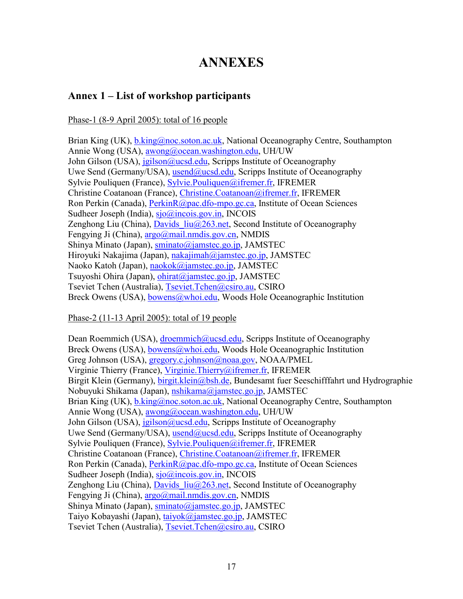# **ANNEXES**

## <span id="page-16-0"></span>**Annex 1 – List of workshop participants**

#### Phase-1 (8-9 April 2005): total of 16 people

Brian King (UK), [b.king@noc.soton.ac.uk,](mailto:b.king@noc.soton.ac.uk) National Oceanography Centre, Southampton Annie Wong (USA), awong@ocean.washington.edu, UH/UW John Gilson (USA), [jgilson@ucsd.edu,](mailto:gilson@ucsd.edu) Scripps Institute of Oceanography Uwe Send (Germany/USA), [usend@ucsd.edu,](mailto:usend@ucsd.edu) Scripps Institute of Oceanography Sylvie Pouliquen (France), [Sylvie.Pouliquen@ifremer.fr,](mailto:Sylvie.Pouliquen@ifremer.fr) IFREMER Christine Coatanoan (France), [Christine.Coatanoan@ifremer.fr,](mailto:Christine.Coatanoan@ifremer.fr) IFREMER Ron Perkin (Canada), [PerkinR@pac.dfo-mpo.gc.ca,](mailto:PerkinR@pac.dfo-mpo.gc.ca) Institute of Ocean Sciences Sudheer Joseph (India), [sjo@incois.gov.in,](mailto:sjo@incois.gov.in) INCOIS Zenghong Liu (China), Davids  $liu(a)$ 263.net, Second Institute of Oceanography Fengying Ji (China), argo@mail.nmdis.gov.cn, NMDIS Shinya Minato (Japan), [sminato@jamstec.go.jp,](mailto:sminato@jamstec.go.jp) JAMSTEC Hiroyuki Nakajima (Japan), [nakajimah@jamstec.go.jp,](mailto:nakajimah@jamstec.go.jp) JAMSTEC Naoko Katoh (Japan), [naokok@jamstec.go.jp,](mailto:naokok@jamstec.go.jp) JAMSTEC Tsuyoshi Ohira (Japan), [ohirat@jamstec.go.jp,](mailto:ohirat@jamstec.go.jp) JAMSTEC Tseviet Tchen (Australia), [Tseviet.Tchen@csiro.au,](mailto:Tseviet.Tchen@csiro.au) CSIRO Breck Owens (USA), [bowens@whoi.edu,](mailto:bowens@whoi.edu) Woods Hole Oceanographic Institution

#### Phase-2 (11-13 April 2005): total of 19 people

Dean Roemmich (USA), [droemmich@ucsd.edu,](mailto:droemmich@ucsd.edu) Scripps Institute of Oceanography Breck Owens (USA), [bowens@whoi.edu,](mailto:bowens@whoi.edu) Woods Hole Oceanographic Institution Greg Johnson (USA), [gregory.c.johnson@noaa.gov,](mailto:gregory.c.johnson@noaa.gov) NOAA/PMEL Virginie Thierry (France), [Virginie.Thierry@ifremer.fr,](mailto:Virginie.Thierry@ifremer.fr) IFREMER Birgit Klein (Germany), [birgit.klein@bsh.de,](mailto:birgit.klein@bsh.de) Bundesamt fuer Seeschifffahrt und Hydrographie Nobuyuki Shikama (Japan), [nshikama@jamstec.go.jp,](mailto:nshikama@jamstec.go.jp) JAMSTEC Brian King (UK), [b.king@noc.soton.ac.uk,](mailto:b.king@noc.soton.ac.uk) National Oceanography Centre, Southampton Annie Wong (USA), awong@ocean.washington.edu, UH/UW John Gilson (USA), [jgilson@ucsd.edu,](mailto:gilson@ucsd.edu) Scripps Institute of Oceanography Uwe Send (Germany/USA), [usend@ucsd.edu,](mailto:usend@ucsd.edu) Scripps Institute of Oceanography Sylvie Pouliquen (France), **[Sylvie.Pouliquen@ifremer.fr,](mailto:Sylvie.Pouliquen@ifremer.fr) IFREMER** Christine Coatanoan (France), [Christine.Coatanoan@ifremer.fr,](mailto:Christine.Coatanoan@ifremer.fr) IFREMER Ron Perkin (Canada), [PerkinR@pac.dfo-mpo.gc.ca,](mailto:PerkinR@pac.dfo-mpo.gc.ca) Institute of Ocean Sciences Sudheer Joseph (India), [sjo@incois.gov.in,](mailto:sjo@incois.gov.in) INCOIS Zenghong Liu (China), Davids  $\text{liu}(a)263$ .net, Second Institute of Oceanography Fengying Ji (China), argo@mail.nmdis.gov.cn, NMDIS Shinya Minato (Japan), [sminato@jamstec.go.jp,](mailto:sminato@jamstec.go.jp) JAMSTEC Taiyo Kobayashi (Japan), [taiyok@jamstec.go.jp,](mailto:taiyok@jamstec.go.jp) JAMSTEC Tseviet Tchen (Australia), [Tseviet.Tchen@csiro.au,](mailto:Tseviet.Tchen@csiro.au) CSIRO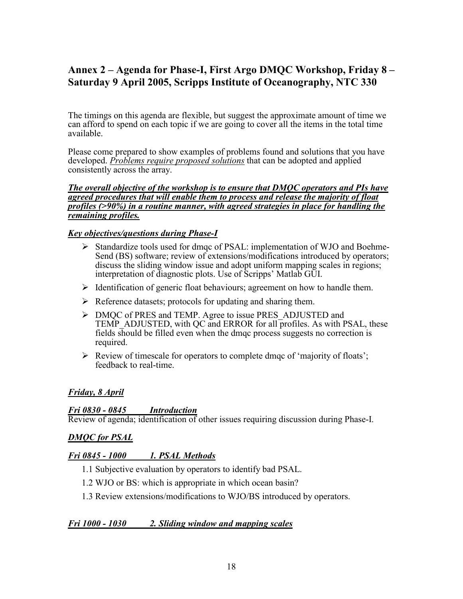# <span id="page-17-0"></span>**Annex 2 – Agenda for Phase-I, First Argo DMQC Workshop, Friday 8 – Saturday 9 April 2005, Scripps Institute of Oceanography, NTC 330**

The timings on this agenda are flexible, but suggest the approximate amount of time we can afford to spend on each topic if we are going to cover all the items in the total time available.

Please come prepared to show examples of problems found and solutions that you have developed. *Problems require proposed solutions* that can be adopted and applied consistently across the array.

#### *The overall objective of the workshop is to ensure that DMQC operators and PIs have agreed procedures that will enable them to process and release the majority of float profiles (>90%) in a routine manner, with agreed strategies in place for handling the remaining profiles.*

#### *Key objectives/questions during Phase-I*

- ¾ Standardize tools used for dmqc of PSAL: implementation of WJO and Boehme-Send (BS) software; review of extensions/modifications introduced by operators: discuss the sliding window issue and adopt uniform mapping scales in regions; interpretation of diagnostic plots. Use of Scripps' Matlab GUI.
- $\triangleright$  Identification of generic float behaviours; agreement on how to handle them.
- $\triangleright$  Reference datasets; protocols for updating and sharing them.
- ¾ DMQC of PRES and TEMP. Agree to issue PRES\_ADJUSTED and TEMP ADJUSTED, with QC and ERROR for all profiles. As with PSAL, these fields should be filled even when the dmqc process suggests no correction is required.
- $\triangleright$  Review of timescale for operators to complete dmqc of 'majority of floats'; feedback to real-time.

#### *Friday, 8 April*

#### *Fri 0830 - 0845 Introduction*

Review of agenda; identification of other issues requiring discussion during Phase-I.

#### *DMQC for PSAL*

#### *Fri 0845 - 1000 1. PSAL Methods*

- 1.1 Subjective evaluation by operators to identify bad PSAL.
- 1.2 WJO or BS: which is appropriate in which ocean basin?
- 1.3 Review extensions/modifications to WJO/BS introduced by operators.

#### *Fri 1000 - 1030 2. Sliding window and mapping scales*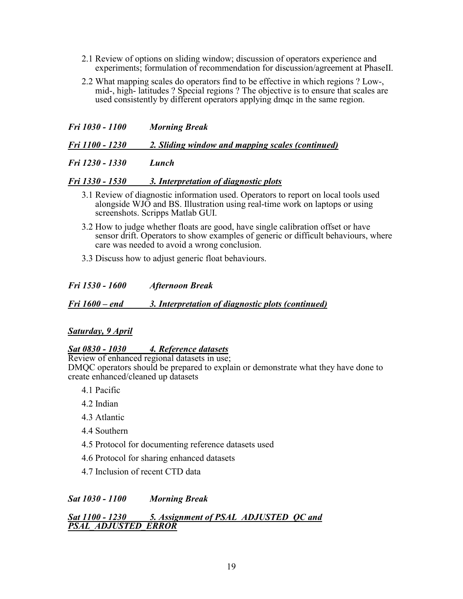- 2.1 Review of options on sliding window; discussion of operators experience and experiments; formulation of recommendation for discussion/agreement at PhaseII.
- 2.2 What mapping scales do operators find to be effective in which regions ? Low-, mid-, high- latitudes ? Special regions ? The objective is to ensure that scales are used consistently by different operators applying dmqc in the same region.

| Fri 1030 - 1100 | <b>Morning Break</b> |
|-----------------|----------------------|
|                 |                      |

*Fri 1100 - 1230 2. Sliding window and mapping scales (continued)*

*Fri 1230 - 1330 Lunch* 

#### *Fri 1330 - 1530 3. Interpretation of diagnostic plots*

- 3.1 Review of diagnostic information used. Operators to report on local tools used alongside WJO and BS. Illustration using real-time work on laptops or using screenshots. Scripps Matlab GUI.
- 3.2 How to judge whether floats are good, have single calibration offset or have sensor drift. Operators to show examples of generic or difficult behaviours, where care was needed to avoid a wrong conclusion.
- 3.3 Discuss how to adjust generic float behaviours.

*Fri 1530 - 1600 Afternoon Break* 

*Fri 1600 – end 3. Interpretation of diagnostic plots (continued)*

#### *Saturday, 9 April*

#### *Sat 0830 - 1030 4. Reference datasets*

Review of enhanced regional datasets in use; DMQC operators should be prepared to explain or demonstrate what they have done to create enhanced/cleaned up datasets

- 4.1 Pacific
- 4.2 Indian
- 4.3 Atlantic
- 4.4 Southern
- 4.5 Protocol for documenting reference datasets used
- 4.6 Protocol for sharing enhanced datasets
- 4.7 Inclusion of recent CTD data

#### *Sat 1030 - 1100 Morning Break*

#### *Sat 1100 - 1230 5. Assignment of PSAL\_ADJUSTED\_QC and PSAL\_ADJUSTED\_ERROR*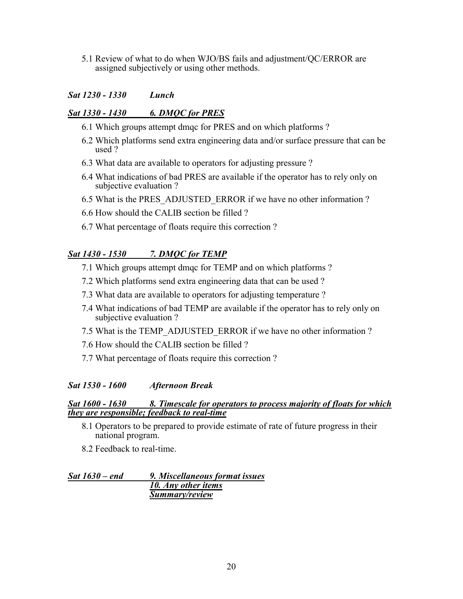5.1 Review of what to do when WJO/BS fails and adjustment/QC/ERROR are assigned subjectively or using other methods.

#### *Sat 1230 - 1330 Lunch*

#### *Sat 1330 - 1430 6. DMQC for PRES*

- 6.1 Which groups attempt dmqc for PRES and on which platforms ?
- 6.2 Which platforms send extra engineering data and/or surface pressure that can be used ?
- 6.3 What data are available to operators for adjusting pressure ?
- 6.4 What indications of bad PRES are available if the operator has to rely only on subjective evaluation ?
- 6.5 What is the PRES\_ADJUSTED\_ERROR if we have no other information ?
- 6.6 How should the CALIB section be filled ?
- 6.7 What percentage of floats require this correction ?

### *Sat 1430 - 1530 7. DMQC for TEMP*

- 7.1 Which groups attempt dmqc for TEMP and on which platforms ?
- 7.2 Which platforms send extra engineering data that can be used ?
- 7.3 What data are available to operators for adjusting temperature ?
- 7.4 What indications of bad TEMP are available if the operator has to rely only on subjective evaluation ?
- 7.5 What is the TEMP\_ADJUSTED\_ERROR if we have no other information ?
- 7.6 How should the CALIB section be filled ?
- 7.7 What percentage of floats require this correction ?

#### *Sat 1530 - 1600 Afternoon Break*

#### **Sat 1600 - 1630** 8. Timescale for operators to process majority of floats for which *they are responsible; feedback to real-time*

- 8.1 Operators to be prepared to provide estimate of rate of future progress in their national program.
- 8.2 Feedback to real-time.

*Sat 1630 – end 9. Miscellaneous format issues 10. Any other items Summary/review*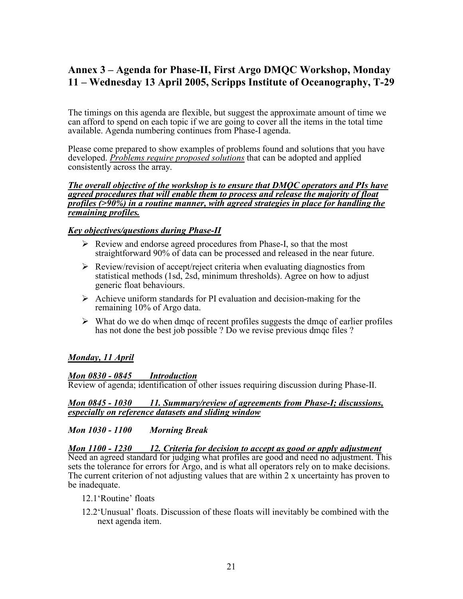# <span id="page-20-0"></span>**Annex 3 – Agenda for Phase-II, First Argo DMQC Workshop, Monday 11 – Wednesday 13 April 2005, Scripps Institute of Oceanography, T-29**

The timings on this agenda are flexible, but suggest the approximate amount of time we can afford to spend on each topic if we are going to cover all the items in the total time available. Agenda numbering continues from Phase-I agenda.

Please come prepared to show examples of problems found and solutions that you have developed. *Problems require proposed solutions* that can be adopted and applied consistently across the array.

#### *The overall objective of the workshop is to ensure that DMQC operators and PIs have agreed procedures that will enable them to process and release the majority of float profiles (>90%) in a routine manner, with agreed strategies in place for handling the remaining profiles.*

#### *Key objectives/questions during Phase-II*

- $\triangleright$  Review and endorse agreed procedures from Phase-I, so that the most straightforward 90% of data can be processed and released in the near future.
- $\triangleright$  Review/revision of accept/reject criteria when evaluating diagnostics from statistical methods (1sd, 2sd, minimum thresholds). Agree on how to adjust generic float behaviours.
- $\triangleright$  Achieve uniform standards for PI evaluation and decision-making for the remaining 10% of Argo data.
- $\triangleright$  What do we do when dmqc of recent profiles suggests the dmqc of earlier profiles has not done the best job possible ? Do we revise previous dmqc files ?

#### *Monday, 11 April*

#### *Mon 0830 - 0845 Introduction*

Review of agenda; identification of other issues requiring discussion during Phase-II.

#### *Mon 0845 - 1030 11. Summary/review of agreements from Phase-I; discussions, especially on reference datasets and sliding window*

#### *Mon 1030 - 1100 Morning Break*

*Mon 1100 - 1230 12. Criteria for decision to accept as good or apply adjustment* Need an agreed standard for judging what profiles are good and need no adjustment. This sets the tolerance for errors for Argo, and is what all operators rely on to make decisions. The current criterion of not adjusting values that are within 2 x uncertainty has proven to be inadequate.

- 12.1'Routine' floats
- 12.2'Unusual' floats. Discussion of these floats will inevitably be combined with the next agenda item.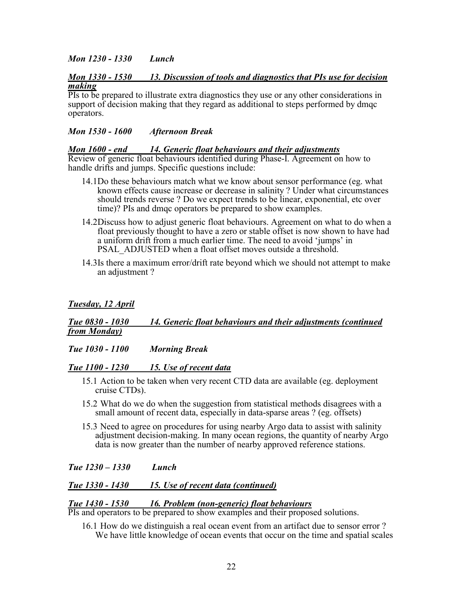#### *Mon 1230 - 1330 Lunch*

#### *Mon 1330 - 1530 13. Discussion of tools and diagnostics that PIs use for decision making*

PIs to be prepared to illustrate extra diagnostics they use or any other considerations in support of decision making that they regard as additional to steps performed by dmqc operators.

#### *Mon 1530 - 1600 Afternoon Break*

#### *Mon 1600 - end 14. Generic float behaviours and their adjustments*

Review of generic float behaviours identified during Phase-I. Agreement on how to handle drifts and jumps. Specific questions include:

- 14.1 Do these behaviours match what we know about sensor performance (eg. what known effects cause increase or decrease in salinity ? Under what circumstances should trends reverse ? Do we expect trends to be linear, exponential, etc over time)? PIs and dmqc operators be prepared to show examples.
- 14.2 Discuss how to adjust generic float behaviours. Agreement on what to do when a float previously thought to have a zero or stable offset is now shown to have had a uniform drift from a much earlier time. The need to avoid 'jumps' in PSAL\_ADJUSTED when a float offset moves outside a threshold.
- 14.3 Is there a maximum error/drift rate beyond which we should not attempt to make an adjustment ?

#### *Tuesday, 12 April*

#### *Tue 0830 - 1030 14. Generic float behaviours and their adjustments (continued from Monday)*

#### *Tue 1030 - 1100 Morning Break*

#### *Tue 1100 - 1230 15. Use of recent data*

- 15.1 Action to be taken when very recent CTD data are available (eg. deployment cruise CTDs).
- 15.2 What do we do when the suggestion from statistical methods disagrees with a small amount of recent data, especially in data-sparse areas ? (eg. offsets)
- 15.3 Need to agree on procedures for using nearby Argo data to assist with salinity adjustment decision-making. In many ocean regions, the quantity of nearby Argo data is now greater than the number of nearby approved reference stations.

#### *Tue 1230 – 1330 Lunch*

#### *Tue 1330 - 1430 15. Use of recent data (continued)*

#### *Tue 1430 - 1530 16. Problem (non-generic) float behaviours*

PIs and operators to be prepared to show examples and their proposed solutions.

16.1 How do we distinguish a real ocean event from an artifact due to sensor error ? We have little knowledge of ocean events that occur on the time and spatial scales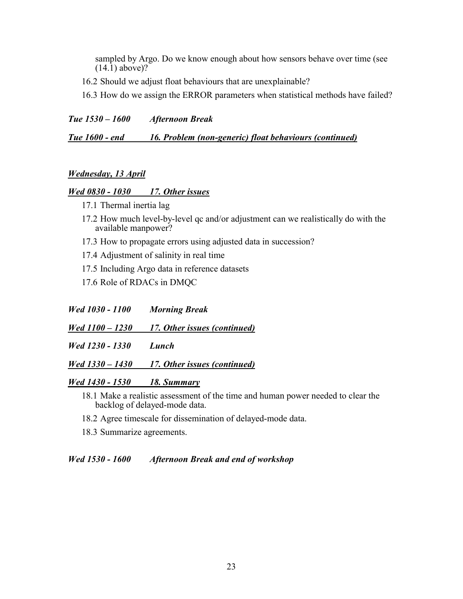sampled by Argo. Do we know enough about how sensors behave over time (see  $(14.1)$  above)?

16.2 Should we adjust float behaviours that are unexplainable?

16.3 How do we assign the ERROR parameters when statistical methods have failed?

*Tue 1530 – 1600 Afternoon Break* 

*Tue 1600 - end 16. Problem (non-generic) float behaviours (continued)*

#### *Wednesday, 13 April*

#### *Wed 0830 - 1030 17. Other issues*

- 17.1 Thermal inertia lag
- 17.2 How much level-by-level qc and/or adjustment can we realistically do with the available manpower?
- 17.3 How to propagate errors using adjusted data in succession?
- 17.4 Adjustment of salinity in real time
- 17.5 Including Argo data in reference datasets
- 17.6 Role of RDACs in DMQC

*Wed 1030 - 1100 Morning Break* 

*Wed 1100 – 1230 17. Other issues (continued)*

*Wed 1230 - 1330 Lunch* 

*Wed 1330 – 1430 17. Other issues (continued)*

#### *Wed 1430 - 1530 18. Summary*

- 18.1 Make a realistic assessment of the time and human power needed to clear the backlog of delayed-mode data.
- 18.2 Agree timescale for dissemination of delayed-mode data.
- 18.3 Summarize agreements.

#### *Wed 1530 - 1600 Afternoon Break and end of workshop*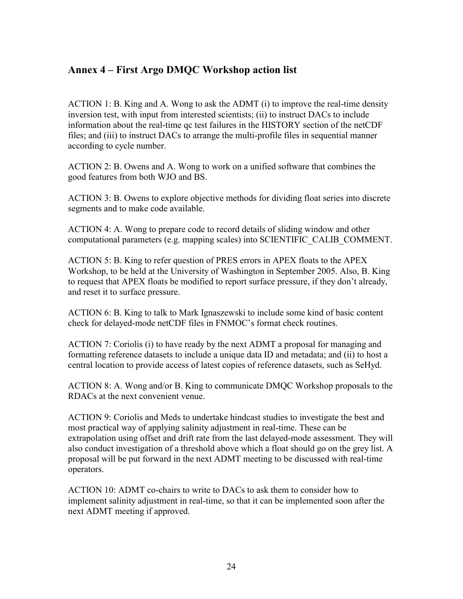# <span id="page-23-0"></span>**Annex 4 – First Argo DMQC Workshop action list**

ACTION 1: B. King and A. Wong to ask the ADMT (i) to improve the real-time density inversion test, with input from interested scientists; (ii) to instruct DACs to include information about the real-time qc test failures in the HISTORY section of the netCDF files; and (iii) to instruct DACs to arrange the multi-profile files in sequential manner according to cycle number.

ACTION 2: B. Owens and A. Wong to work on a unified software that combines the good features from both WJO and BS.

ACTION 3: B. Owens to explore objective methods for dividing float series into discrete segments and to make code available.

ACTION 4: A. Wong to prepare code to record details of sliding window and other computational parameters (e.g. mapping scales) into SCIENTIFIC\_CALIB\_COMMENT.

ACTION 5: B. King to refer question of PRES errors in APEX floats to the APEX Workshop, to be held at the University of Washington in September 2005. Also, B. King to request that APEX floats be modified to report surface pressure, if they don't already, and reset it to surface pressure.

ACTION 6: B. King to talk to Mark Ignaszewski to include some kind of basic content check for delayed-mode netCDF files in FNMOC's format check routines.

ACTION 7: Coriolis (i) to have ready by the next ADMT a proposal for managing and formatting reference datasets to include a unique data ID and metadata; and (ii) to host a central location to provide access of latest copies of reference datasets, such as SeHyd.

ACTION 8: A. Wong and/or B. King to communicate DMQC Workshop proposals to the RDACs at the next convenient venue.

ACTION 9: Coriolis and Meds to undertake hindcast studies to investigate the best and most practical way of applying salinity adjustment in real-time. These can be extrapolation using offset and drift rate from the last delayed-mode assessment. They will also conduct investigation of a threshold above which a float should go on the grey list. A proposal will be put forward in the next ADMT meeting to be discussed with real-time operators.

ACTION 10: ADMT co-chairs to write to DACs to ask them to consider how to implement salinity adjustment in real-time, so that it can be implemented soon after the next ADMT meeting if approved.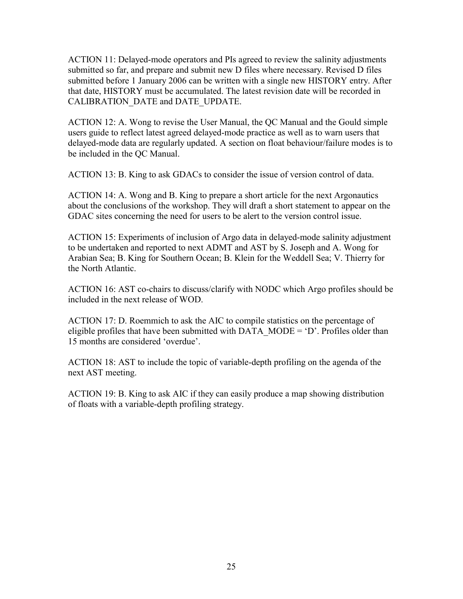ACTION 11: Delayed-mode operators and PIs agreed to review the salinity adjustments submitted so far, and prepare and submit new D files where necessary. Revised D files submitted before 1 January 2006 can be written with a single new HISTORY entry. After that date, HISTORY must be accumulated. The latest revision date will be recorded in CALIBRATION\_DATE and DATE\_UPDATE.

ACTION 12: A. Wong to revise the User Manual, the QC Manual and the Gould simple users guide to reflect latest agreed delayed-mode practice as well as to warn users that delayed-mode data are regularly updated. A section on float behaviour/failure modes is to be included in the QC Manual.

ACTION 13: B. King to ask GDACs to consider the issue of version control of data.

ACTION 14: A. Wong and B. King to prepare a short article for the next Argonautics about the conclusions of the workshop. They will draft a short statement to appear on the GDAC sites concerning the need for users to be alert to the version control issue.

ACTION 15: Experiments of inclusion of Argo data in delayed-mode salinity adjustment to be undertaken and reported to next ADMT and AST by S. Joseph and A. Wong for Arabian Sea; B. King for Southern Ocean; B. Klein for the Weddell Sea; V. Thierry for the North Atlantic.

ACTION 16: AST co-chairs to discuss/clarify with NODC which Argo profiles should be included in the next release of WOD.

ACTION 17: D. Roemmich to ask the AIC to compile statistics on the percentage of eligible profiles that have been submitted with DATA\_MODE =  $D'$ . Profiles older than 15 months are considered 'overdue'.

ACTION 18: AST to include the topic of variable-depth profiling on the agenda of the next AST meeting.

ACTION 19: B. King to ask AIC if they can easily produce a map showing distribution of floats with a variable-depth profiling strategy.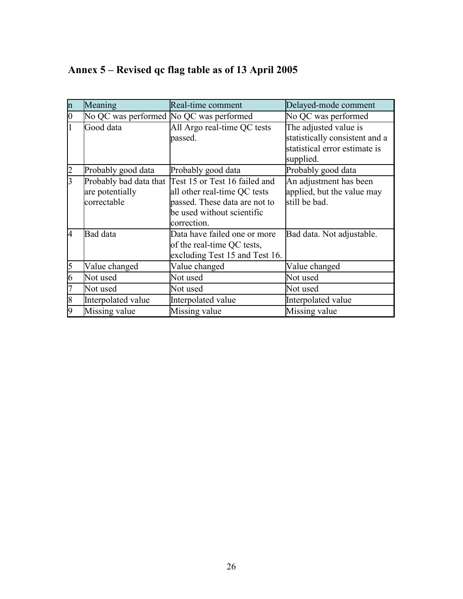<span id="page-25-0"></span>

|  | Annex 5 – Revised qc flag table as of 13 April 2005 |  |  |
|--|-----------------------------------------------------|--|--|
|--|-----------------------------------------------------|--|--|

| $\mathbf n$     | Meaning                                 | Real-time comment                                    | Delayed-mode comment           |
|-----------------|-----------------------------------------|------------------------------------------------------|--------------------------------|
| $\vert 0 \vert$ | No QC was performed No QC was performed |                                                      | No QC was performed            |
|                 | Good data                               | All Argo real-time QC tests                          | The adjusted value is          |
|                 |                                         | passed.                                              | statistically consistent and a |
|                 |                                         |                                                      | statistical error estimate is  |
|                 |                                         |                                                      | supplied.                      |
| $\overline{2}$  | Probably good data                      | Probably good data                                   | Probably good data             |
| l3              |                                         | Probably bad data that Test 15 or Test 16 failed and | An adjustment has been         |
|                 | are potentially                         | all other real-time QC tests                         | applied, but the value may     |
|                 | correctable                             | passed. These data are not to                        | still be bad.                  |
|                 |                                         | be used without scientific                           |                                |
|                 |                                         | correction.                                          |                                |
| 14              | Bad data                                | Data have failed one or more                         | Bad data. Not adjustable.      |
|                 |                                         | of the real-time QC tests,                           |                                |
|                 |                                         | excluding Test 15 and Test 16.                       |                                |
| 5               | Value changed                           | Value changed                                        | Value changed                  |
| 6               | Not used                                | Not used                                             | Not used                       |
| 7               | Not used                                | Not used                                             | Not used                       |
| 8               | Interpolated value                      | Interpolated value                                   | Interpolated value             |
| 9               | Missing value                           | Missing value                                        | Missing value                  |